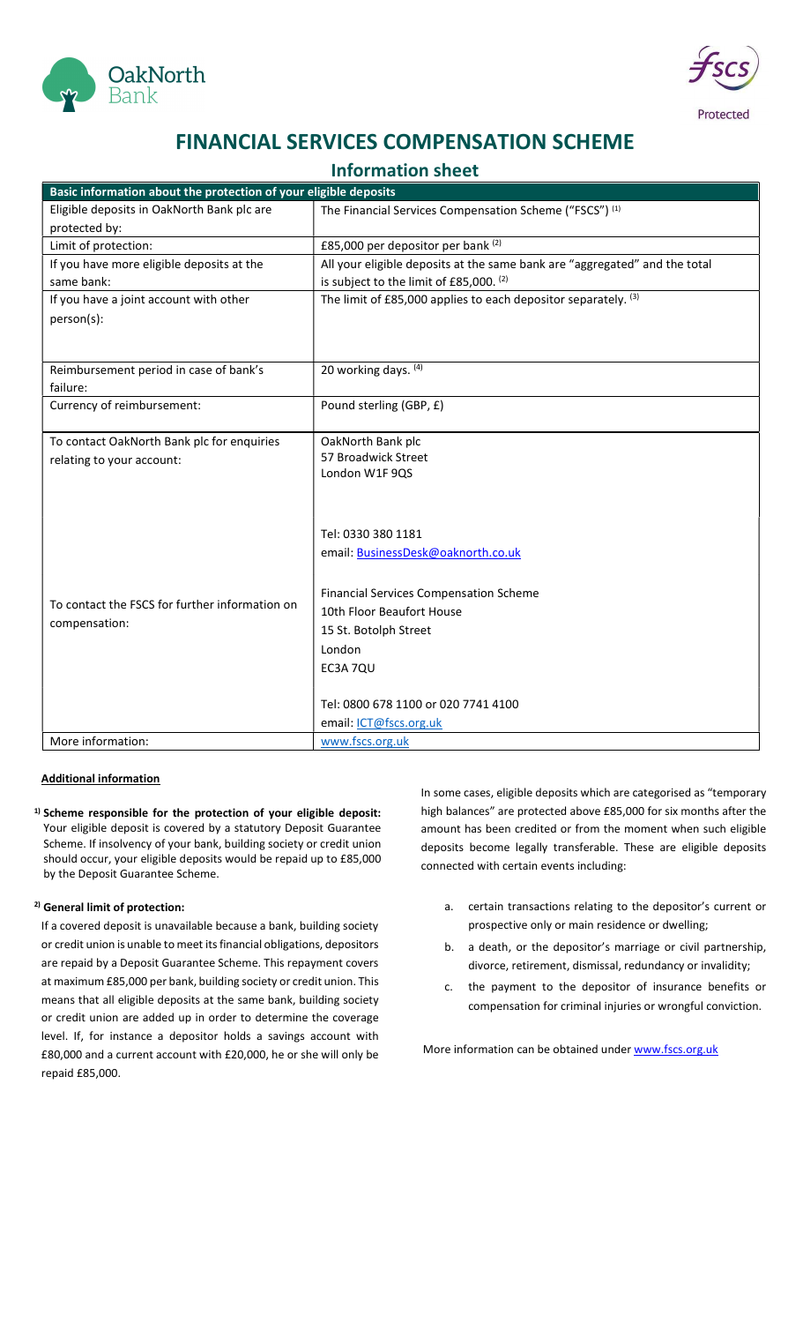



## FINANCIAL SERVICES COMPENSATION SCHEME

### Information sheet

| Eligible deposits in OakNorth Bank plc are<br>The Financial Services Compensation Scheme ("FSCS") (1)<br>protected by:<br>£85,000 per depositor per bank (2)<br>Limit of protection:<br>All your eligible deposits at the same bank are "aggregated" and the total<br>If you have more eligible deposits at the<br>is subject to the limit of £85,000. (2)<br>same bank:<br>The limit of £85,000 applies to each depositor separately. (3)<br>If you have a joint account with other<br>person(s):<br>20 working days. (4)<br>Reimbursement period in case of bank's<br>failure:<br>Currency of reimbursement:<br>Pound sterling (GBP, £)<br>To contact OakNorth Bank plc for enquiries<br>OakNorth Bank plc<br>57 Broadwick Street<br>relating to your account:<br>London W1F 9QS<br>Tel: 0330 380 1181<br>email: BusinessDesk@oaknorth.co.uk<br><b>Financial Services Compensation Scheme</b><br>To contact the FSCS for further information on<br>10th Floor Beaufort House<br>compensation:<br>15 St. Botolph Street<br>London<br>EC3A 7QU<br>Tel: 0800 678 1100 or 020 7741 4100<br>email: ICT@fscs.org.uk<br>More information:<br>www.fscs.org.uk | Basic information about the protection of your eligible deposits |  |
|---------------------------------------------------------------------------------------------------------------------------------------------------------------------------------------------------------------------------------------------------------------------------------------------------------------------------------------------------------------------------------------------------------------------------------------------------------------------------------------------------------------------------------------------------------------------------------------------------------------------------------------------------------------------------------------------------------------------------------------------------------------------------------------------------------------------------------------------------------------------------------------------------------------------------------------------------------------------------------------------------------------------------------------------------------------------------------------------------------------------------------------------------------|------------------------------------------------------------------|--|
|                                                                                                                                                                                                                                                                                                                                                                                                                                                                                                                                                                                                                                                                                                                                                                                                                                                                                                                                                                                                                                                                                                                                                         |                                                                  |  |
|                                                                                                                                                                                                                                                                                                                                                                                                                                                                                                                                                                                                                                                                                                                                                                                                                                                                                                                                                                                                                                                                                                                                                         |                                                                  |  |
|                                                                                                                                                                                                                                                                                                                                                                                                                                                                                                                                                                                                                                                                                                                                                                                                                                                                                                                                                                                                                                                                                                                                                         |                                                                  |  |
|                                                                                                                                                                                                                                                                                                                                                                                                                                                                                                                                                                                                                                                                                                                                                                                                                                                                                                                                                                                                                                                                                                                                                         |                                                                  |  |
|                                                                                                                                                                                                                                                                                                                                                                                                                                                                                                                                                                                                                                                                                                                                                                                                                                                                                                                                                                                                                                                                                                                                                         |                                                                  |  |
|                                                                                                                                                                                                                                                                                                                                                                                                                                                                                                                                                                                                                                                                                                                                                                                                                                                                                                                                                                                                                                                                                                                                                         |                                                                  |  |
|                                                                                                                                                                                                                                                                                                                                                                                                                                                                                                                                                                                                                                                                                                                                                                                                                                                                                                                                                                                                                                                                                                                                                         |                                                                  |  |
|                                                                                                                                                                                                                                                                                                                                                                                                                                                                                                                                                                                                                                                                                                                                                                                                                                                                                                                                                                                                                                                                                                                                                         |                                                                  |  |
|                                                                                                                                                                                                                                                                                                                                                                                                                                                                                                                                                                                                                                                                                                                                                                                                                                                                                                                                                                                                                                                                                                                                                         |                                                                  |  |
|                                                                                                                                                                                                                                                                                                                                                                                                                                                                                                                                                                                                                                                                                                                                                                                                                                                                                                                                                                                                                                                                                                                                                         |                                                                  |  |
|                                                                                                                                                                                                                                                                                                                                                                                                                                                                                                                                                                                                                                                                                                                                                                                                                                                                                                                                                                                                                                                                                                                                                         |                                                                  |  |
|                                                                                                                                                                                                                                                                                                                                                                                                                                                                                                                                                                                                                                                                                                                                                                                                                                                                                                                                                                                                                                                                                                                                                         |                                                                  |  |
|                                                                                                                                                                                                                                                                                                                                                                                                                                                                                                                                                                                                                                                                                                                                                                                                                                                                                                                                                                                                                                                                                                                                                         |                                                                  |  |
|                                                                                                                                                                                                                                                                                                                                                                                                                                                                                                                                                                                                                                                                                                                                                                                                                                                                                                                                                                                                                                                                                                                                                         |                                                                  |  |
|                                                                                                                                                                                                                                                                                                                                                                                                                                                                                                                                                                                                                                                                                                                                                                                                                                                                                                                                                                                                                                                                                                                                                         |                                                                  |  |
|                                                                                                                                                                                                                                                                                                                                                                                                                                                                                                                                                                                                                                                                                                                                                                                                                                                                                                                                                                                                                                                                                                                                                         |                                                                  |  |
|                                                                                                                                                                                                                                                                                                                                                                                                                                                                                                                                                                                                                                                                                                                                                                                                                                                                                                                                                                                                                                                                                                                                                         |                                                                  |  |
|                                                                                                                                                                                                                                                                                                                                                                                                                                                                                                                                                                                                                                                                                                                                                                                                                                                                                                                                                                                                                                                                                                                                                         |                                                                  |  |
|                                                                                                                                                                                                                                                                                                                                                                                                                                                                                                                                                                                                                                                                                                                                                                                                                                                                                                                                                                                                                                                                                                                                                         |                                                                  |  |
|                                                                                                                                                                                                                                                                                                                                                                                                                                                                                                                                                                                                                                                                                                                                                                                                                                                                                                                                                                                                                                                                                                                                                         |                                                                  |  |
|                                                                                                                                                                                                                                                                                                                                                                                                                                                                                                                                                                                                                                                                                                                                                                                                                                                                                                                                                                                                                                                                                                                                                         |                                                                  |  |
|                                                                                                                                                                                                                                                                                                                                                                                                                                                                                                                                                                                                                                                                                                                                                                                                                                                                                                                                                                                                                                                                                                                                                         |                                                                  |  |
|                                                                                                                                                                                                                                                                                                                                                                                                                                                                                                                                                                                                                                                                                                                                                                                                                                                                                                                                                                                                                                                                                                                                                         |                                                                  |  |
|                                                                                                                                                                                                                                                                                                                                                                                                                                                                                                                                                                                                                                                                                                                                                                                                                                                                                                                                                                                                                                                                                                                                                         |                                                                  |  |
|                                                                                                                                                                                                                                                                                                                                                                                                                                                                                                                                                                                                                                                                                                                                                                                                                                                                                                                                                                                                                                                                                                                                                         |                                                                  |  |
|                                                                                                                                                                                                                                                                                                                                                                                                                                                                                                                                                                                                                                                                                                                                                                                                                                                                                                                                                                                                                                                                                                                                                         |                                                                  |  |
|                                                                                                                                                                                                                                                                                                                                                                                                                                                                                                                                                                                                                                                                                                                                                                                                                                                                                                                                                                                                                                                                                                                                                         |                                                                  |  |
|                                                                                                                                                                                                                                                                                                                                                                                                                                                                                                                                                                                                                                                                                                                                                                                                                                                                                                                                                                                                                                                                                                                                                         |                                                                  |  |
|                                                                                                                                                                                                                                                                                                                                                                                                                                                                                                                                                                                                                                                                                                                                                                                                                                                                                                                                                                                                                                                                                                                                                         |                                                                  |  |
|                                                                                                                                                                                                                                                                                                                                                                                                                                                                                                                                                                                                                                                                                                                                                                                                                                                                                                                                                                                                                                                                                                                                                         |                                                                  |  |

### Additional information

 $1)$  Scheme responsible for the protection of your eligible deposit: Your eligible deposit is covered by a statutory Deposit Guarantee Scheme. If insolvency of your bank, building society or credit union should occur, your eligible deposits would be repaid up to £85,000 by the Deposit Guarantee Scheme.

### 2) General limit of protection:

If a covered deposit is unavailable because a bank, building society or credit union is unable to meet its financial obligations, depositors are repaid by a Deposit Guarantee Scheme. This repayment covers at maximum £85,000 per bank, building society or credit union. This means that all eligible deposits at the same bank, building society or credit union are added up in order to determine the coverage level. If, for instance a depositor holds a savings account with £80,000 and a current account with £20,000, he or she will only be repaid £85,000.

In some cases, eligible deposits which are categorised as "temporary high balances" are protected above £85,000 for six months after the amount has been credited or from the moment when such eligible deposits become legally transferable. These are eligible deposits connected with certain events including:

- a. certain transactions relating to the depositor's current or prospective only or main residence or dwelling;
- b. a death, or the depositor's marriage or civil partnership, divorce, retirement, dismissal, redundancy or invalidity;
- c. the payment to the depositor of insurance benefits or compensation for criminal injuries or wrongful conviction.

More information can be obtained under www.fscs.org.uk